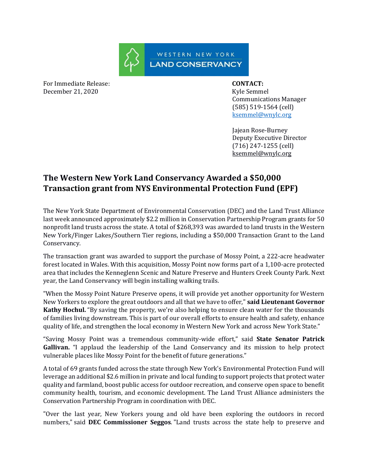

For Immediate Release: **CONTACT:**  December 21, 2020 Kyle Semmel

 Communications Manager (585) 519-1564 (cell) [ksemmel@wnylc.org](mailto:ksemmel@wnylc.org)

 Jajean Rose-Burney Deputy Executive Director (716) 247-1255 (cell) ksemmel@wnylc.org

## **The Western New York Land Conservancy Awarded a \$50,000 Transaction grant from NYS Environmental Protection Fund (EPF)**

The New York State Department of Environmental Conservation (DEC) and the Land Trust Alliance last week announced approximately \$2.2 million in Conservation Partnership Program grants for 50 nonprofit land trusts across the state. A total of \$268,393 was awarded to land trusts in the Western New York/Finger Lakes/Southern Tier regions, including a \$50,000 Transaction Grant to the Land Conservancy.

The transaction grant was awarded to support the purchase of Mossy Point, a 222-acre headwater forest located in Wales. With this acquisition, Mossy Point now forms part of a 1,100-acre protected area that includes the Kenneglenn Scenic and Nature Preserve and Hunters Creek County Park. Next year, the Land Conservancy will begin installing walking trails.

"When the Mossy Point Nature Preserve opens, it will provide yet another opportunity for Western New Yorkers to explore the great outdoors and all that we have to offer," **said Lieutenant Governor Kathy Hochul.** "By saving the property, we're also helping to ensure clean water for the thousands of families living downstream. This is part of our overall efforts to ensure health and safety, enhance quality of life, and strengthen the local economy in Western New York and across New York State."

"Saving Mossy Point was a tremendous community-wide effort," said **State Senator Patrick**  Gallivan. "I applaud the leadership of the Land Conservancy and its mission to help protect vulnerable places like Mossy Point for the benefit of future generations."

A total of 69 grants funded across the state through New York's Environmental Protection Fund will leverage an additional \$2.6 million in private and local funding to support projects that protect water quality and farmland, boost public access for outdoor recreation, and conserve open space to benefit community health, tourism, and economic development. The Land Trust Alliance administers the Conservation Partnership Program in coordination with DEC.

"Over the last year, New Yorkers young and old have been exploring the outdoors in record numbers," said **DEC Commissioner Seggos**. "Land trusts across the state help to preserve and